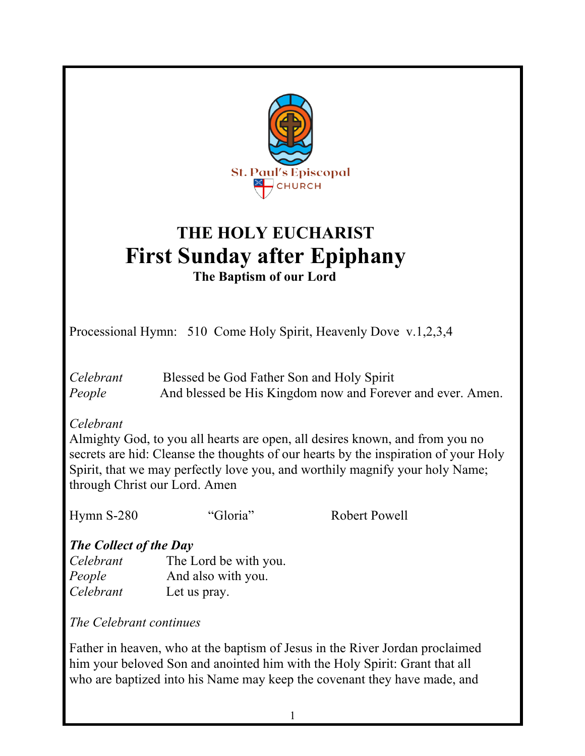

Almighty God, to you all hearts are open, all desires known, and from you no secrets are hid: Cleanse the thoughts of our hearts by the inspiration of your Holy Spirit, that we may perfectly love you, and worthily magnify your holy Name; through Christ our Lord. Amen

Hymn S-280 "Gloria" Robert Powell

#### *The Collect of the Day*

| Celebrant | The Lord be with you. |
|-----------|-----------------------|
| People    | And also with you.    |
| Celebrant | Let us pray.          |

*The Celebrant continues* 

Father in heaven, who at the baptism of Jesus in the River Jordan proclaimed him your beloved Son and anointed him with the Holy Spirit: Grant that all who are baptized into his Name may keep the covenant they have made, and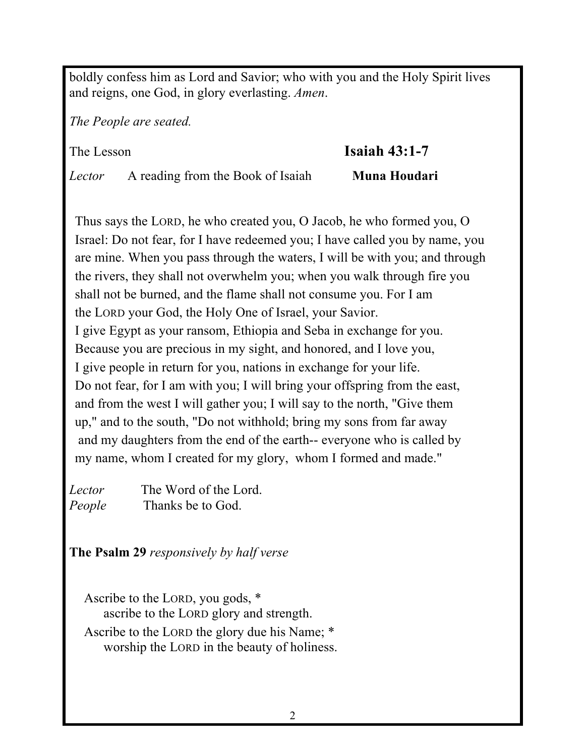boldly confess him as Lord and Savior; who with you and the Holy Spirit lives and reigns, one God, in glory everlasting. *Amen*.

*The People are seated.* 

# The Lesson **Isaiah 43:1-7**

*Lector* A reading from the Book of Isaiah **Muna Houdari**

Thus says the LORD, he who created you, O Jacob, he who formed you, O Israel: Do not fear, for I have redeemed you; I have called you by name, you are mine. When you pass through the waters, I will be with you; and through the rivers, they shall not overwhelm you; when you walk through fire you shall not be burned, and the flame shall not consume you. For I am the LORD your God, the Holy One of Israel, your Savior. I give Egypt as your ransom, Ethiopia and Seba in exchange for you. Because you are precious in my sight, and honored, and I love you, I give people in return for you, nations in exchange for your life. Do not fear, for I am with you; I will bring your offspring from the east, and from the west I will gather you; I will say to the north, "Give them up," and to the south, "Do not withhold; bring my sons from far away and my daughters from the end of the earth-- everyone who is called by my name, whom I created for my glory, whom I formed and made."

| Lector | The Word of the Lord. |
|--------|-----------------------|
| People | Thanks be to God.     |

**The Psalm 29** *responsively by half verse*

Ascribe to the LORD, you gods, \* ascribe to the LORD glory and strength.

Ascribe to the LORD the glory due his Name; \* worship the LORD in the beauty of holiness.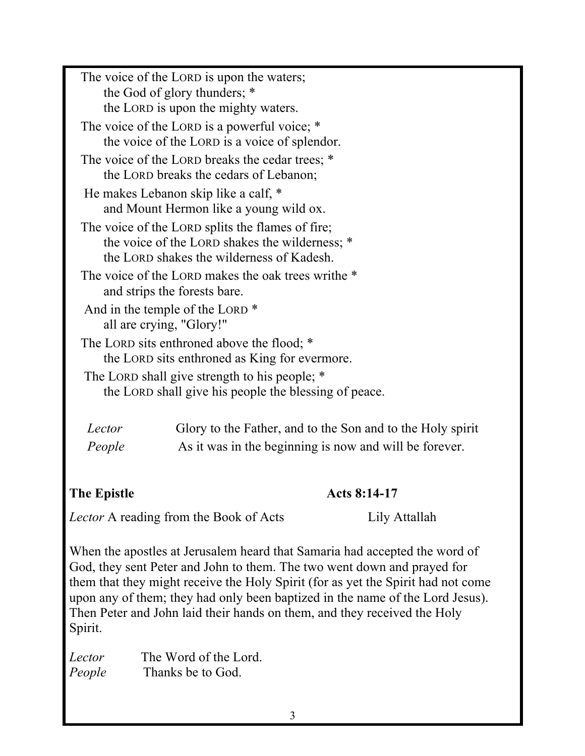| The voice of the LORD is upon the waters;                                                                                                       |
|-------------------------------------------------------------------------------------------------------------------------------------------------|
| the God of glory thunders; *                                                                                                                    |
| the LORD is upon the mighty waters.                                                                                                             |
| The voice of the LORD is a powerful voice; *<br>the voice of the LORD is a voice of splendor.                                                   |
| The voice of the LORD breaks the cedar trees; *<br>the LORD breaks the cedars of Lebanon;                                                       |
| He makes Lebanon skip like a calf, *<br>and Mount Hermon like a young wild ox.                                                                  |
| The voice of the LORD splits the flames of fire;<br>the voice of the LORD shakes the wilderness; *<br>the LORD shakes the wilderness of Kadesh. |
| The voice of the LORD makes the oak trees writhe *<br>and strips the forests bare.                                                              |
| And in the temple of the LORD <sup>*</sup><br>all are crying, "Glory!"                                                                          |
| The LORD sits enthroned above the flood; *<br>the LORD sits enthroned as King for evermore.                                                     |
| The LORD shall give strength to his people; *<br>the LORD shall give his people the blessing of peace.                                          |
| Lector<br>Glory to the Father, and to the Son and to the Holy spirit                                                                            |
| As it was in the beginning is now and will be forever.<br>People                                                                                |
|                                                                                                                                                 |

The Epistle **Acts** 8:14-17

*Lector* A reading from the Book of Acts Lily Attallah

When the apostles at Jerusalem heard that Samaria had accepted the word of God, they sent Peter and John to them. The two went down and prayed for them that they might receive the Holy Spirit (for as yet the Spirit had not come upon any of them; they had only been baptized in the name of the Lord Jesus). Then Peter and John laid their hands on them, and they received the Holy Spirit.

*Lector* The Word of the Lord. *People* Thanks be to God.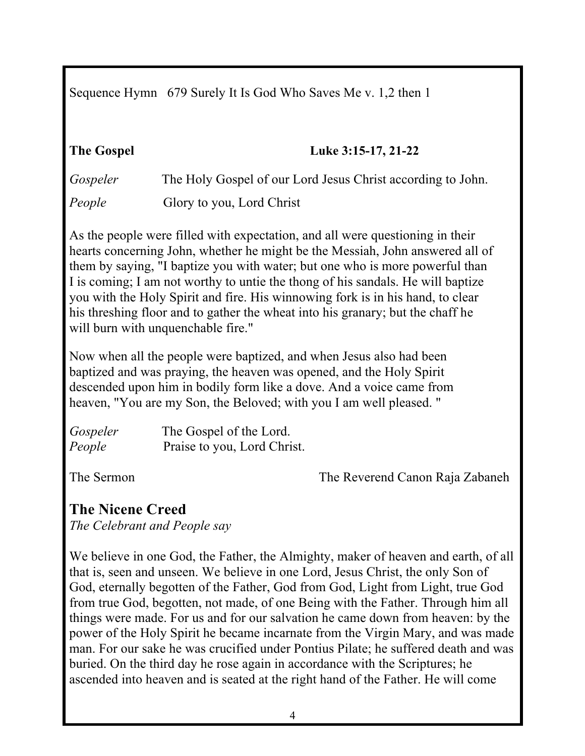Sequence Hymn 679 Surely It Is God Who Saves Me v. 1,2 then 1

# **The Gospel Luke 3:15-17, 21-22** *Gospeler* The Holy Gospel of our Lord Jesus Christ according to John.

*People* Glory to you, Lord Christ

As the people were filled with expectation, and all were questioning in their hearts concerning John, whether he might be the Messiah, John answered all of them by saying, "I baptize you with water; but one who is more powerful than I is coming; I am not worthy to untie the thong of his sandals. He will baptize you with the Holy Spirit and fire. His winnowing fork is in his hand, to clear his threshing floor and to gather the wheat into his granary; but the chaff he will burn with unquenchable fire."

Now when all the people were baptized, and when Jesus also had been baptized and was praying, the heaven was opened, and the Holy Spirit descended upon him in bodily form like a dove. And a voice came from heaven, "You are my Son, the Beloved; with you I am well pleased. "

| Gospeler | The Gospel of the Lord.     |
|----------|-----------------------------|
| People   | Praise to you, Lord Christ. |

The Sermon The Reverend Canon Raja Zabaneh

# **The Nicene Creed**

*The Celebrant and People say* 

We believe in one God, the Father, the Almighty, maker of heaven and earth, of all that is, seen and unseen. We believe in one Lord, Jesus Christ, the only Son of God, eternally begotten of the Father, God from God, Light from Light, true God from true God, begotten, not made, of one Being with the Father. Through him all things were made. For us and for our salvation he came down from heaven: by the power of the Holy Spirit he became incarnate from the Virgin Mary, and was made man. For our sake he was crucified under Pontius Pilate; he suffered death and was buried. On the third day he rose again in accordance with the Scriptures; he ascended into heaven and is seated at the right hand of the Father. He will come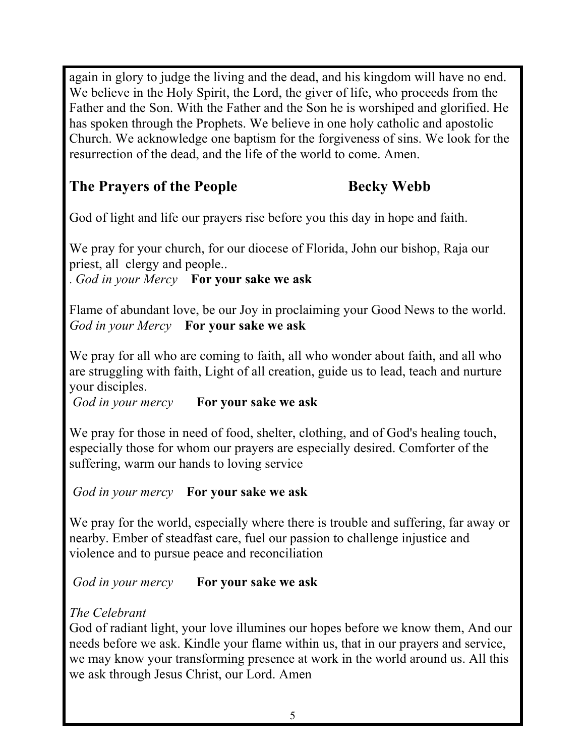again in glory to judge the living and the dead, and his kingdom will have no end. We believe in the Holy Spirit, the Lord, the giver of life, who proceeds from the Father and the Son. With the Father and the Son he is worshiped and glorified. He has spoken through the Prophets. We believe in one holy catholic and apostolic Church. We acknowledge one baptism for the forgiveness of sins. We look for the resurrection of the dead, and the life of the world to come. Amen.

# **The Prayers of the People Becky Webb**

God of light and life our prayers rise before you this day in hope and faith.

We pray for your church, for our diocese of Florida, John our bishop, Raja our priest, all clergy and people..

. *God in your Mercy* **For your sake we ask**

Flame of abundant love, be our Joy in proclaiming your Good News to the world. *God in your Mercy* **For your sake we ask**

We pray for all who are coming to faith, all who wonder about faith, and all who are struggling with faith, Light of all creation, guide us to lead, teach and nurture your disciples.

*God in your mercy* **For your sake we ask**

We pray for those in need of food, shelter, clothing, and of God's healing touch, especially those for whom our prayers are especially desired. Comforter of the suffering, warm our hands to loving service

*God in your mercy* **For your sake we ask**

We pray for the world, especially where there is trouble and suffering, far away or nearby. Ember of steadfast care, fuel our passion to challenge injustice and violence and to pursue peace and reconciliation

*God in your mercy* **For your sake we ask**

*The Celebrant*

God of radiant light, your love illumines our hopes before we know them, And our needs before we ask. Kindle your flame within us, that in our prayers and service, we may know your transforming presence at work in the world around us. All this we ask through Jesus Christ, our Lord. Amen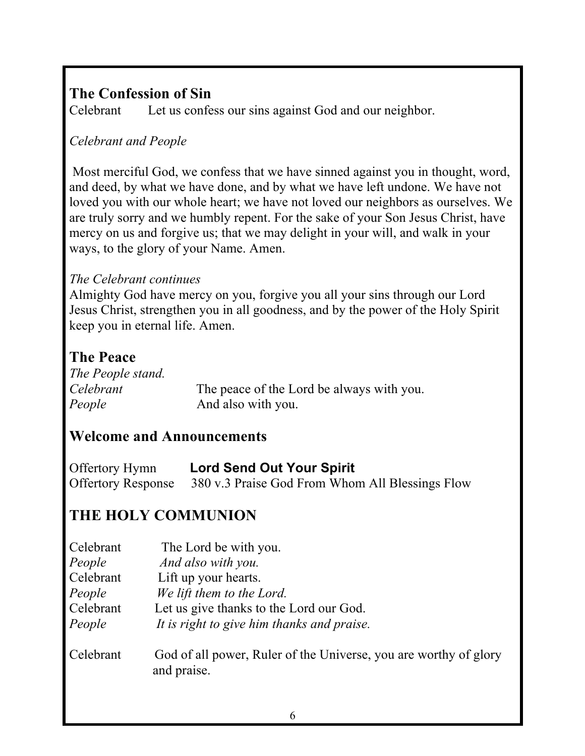# **The Confession of Sin**

Celebrant Let us confess our sins against God and our neighbor.

#### *Celebrant and People*

Most merciful God, we confess that we have sinned against you in thought, word, and deed, by what we have done, and by what we have left undone. We have not loved you with our whole heart; we have not loved our neighbors as ourselves. We are truly sorry and we humbly repent. For the sake of your Son Jesus Christ, have mercy on us and forgive us; that we may delight in your will, and walk in your ways, to the glory of your Name. Amen.

#### *The Celebrant continues*

Almighty God have mercy on you, forgive you all your sins through our Lord Jesus Christ, strengthen you in all goodness, and by the power of the Holy Spirit keep you in eternal life. Amen.

## **The Peace**

| The People stand. |                                           |
|-------------------|-------------------------------------------|
| Celebrant         | The peace of the Lord be always with you. |
| People            | And also with you.                        |

## **Welcome and Announcements**

| Offertory Hymn            | <b>Lord Send Out Your Spirit</b>                |
|---------------------------|-------------------------------------------------|
| <b>Offertory Response</b> | 380 v.3 Praise God From Whom All Blessings Flow |

# **THE HOLY COMMUNION**

| Celebrant | The Lord be with you.                                                           |
|-----------|---------------------------------------------------------------------------------|
| People    | And also with you.                                                              |
| Celebrant | Lift up your hearts.                                                            |
| People    | We lift them to the Lord.                                                       |
| Celebrant | Let us give thanks to the Lord our God.                                         |
| People    | It is right to give him thanks and praise.                                      |
| Celebrant | God of all power, Ruler of the Universe, you are worthy of glory<br>and praise. |
|           |                                                                                 |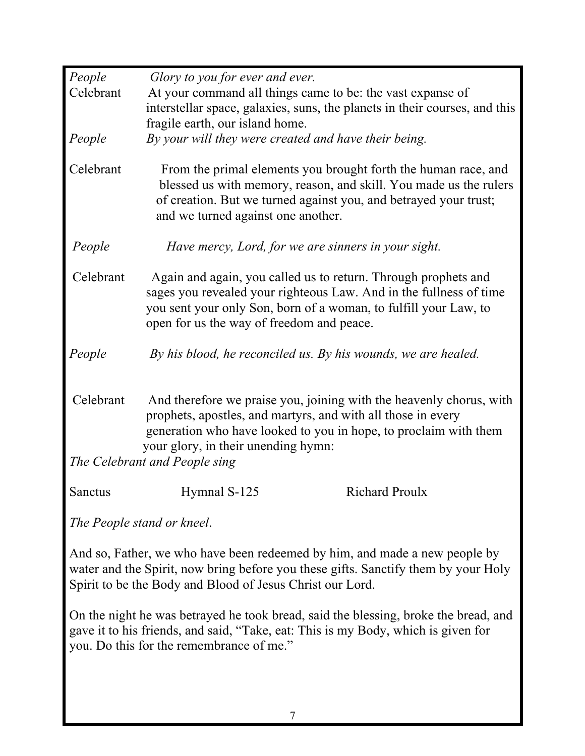| People         | Glory to you for ever and ever.                                                                                                                                                                                                                |                                                                                                                                                                                                          |
|----------------|------------------------------------------------------------------------------------------------------------------------------------------------------------------------------------------------------------------------------------------------|----------------------------------------------------------------------------------------------------------------------------------------------------------------------------------------------------------|
| Celebrant      | fragile earth, our island home.                                                                                                                                                                                                                | At your command all things came to be: the vast expanse of<br>interstellar space, galaxies, suns, the planets in their courses, and this                                                                 |
| People         | By your will they were created and have their being.                                                                                                                                                                                           |                                                                                                                                                                                                          |
| Celebrant      | and we turned against one another.                                                                                                                                                                                                             | From the primal elements you brought forth the human race, and<br>blessed us with memory, reason, and skill. You made us the rulers<br>of creation. But we turned against you, and betrayed your trust;  |
| People         |                                                                                                                                                                                                                                                | Have mercy, Lord, for we are sinners in your sight.                                                                                                                                                      |
| Celebrant      | open for us the way of freedom and peace.                                                                                                                                                                                                      | Again and again, you called us to return. Through prophets and<br>sages you revealed your righteous Law. And in the fullness of time<br>you sent your only Son, born of a woman, to fulfill your Law, to |
| People         |                                                                                                                                                                                                                                                | By his blood, he reconciled us. By his wounds, we are healed.                                                                                                                                            |
| Celebrant      | And therefore we praise you, joining with the heavenly chorus, with<br>prophets, apostles, and martyrs, and with all those in every<br>generation who have looked to you in hope, to proclaim with them<br>your glory, in their unending hymn: |                                                                                                                                                                                                          |
|                | The Celebrant and People sing                                                                                                                                                                                                                  |                                                                                                                                                                                                          |
| <b>Sanctus</b> | Hymnal S-125                                                                                                                                                                                                                                   | <b>Richard Proulx</b>                                                                                                                                                                                    |

*The People stand or kneel*.

And so, Father, we who have been redeemed by him, and made a new people by water and the Spirit, now bring before you these gifts. Sanctify them by your Holy Spirit to be the Body and Blood of Jesus Christ our Lord.

On the night he was betrayed he took bread, said the blessing, broke the bread, and gave it to his friends, and said, "Take, eat: This is my Body, which is given for you. Do this for the remembrance of me."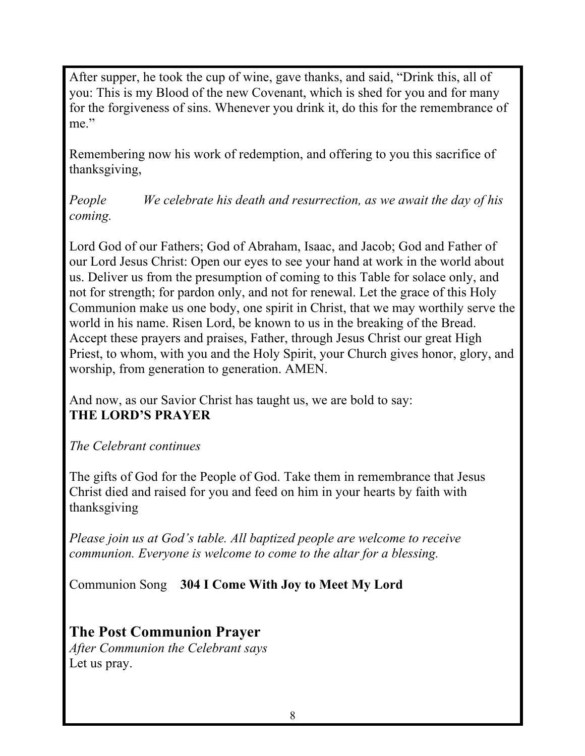After supper, he took the cup of wine, gave thanks, and said, "Drink this, all of you: This is my Blood of the new Covenant, which is shed for you and for many for the forgiveness of sins. Whenever you drink it, do this for the remembrance of me."

Remembering now his work of redemption, and offering to you this sacrifice of thanksgiving,

*People We celebrate his death and resurrection, as we await the day of his coming.*

Lord God of our Fathers; God of Abraham, Isaac, and Jacob; God and Father of our Lord Jesus Christ: Open our eyes to see your hand at work in the world about us. Deliver us from the presumption of coming to this Table for solace only, and not for strength; for pardon only, and not for renewal. Let the grace of this Holy Communion make us one body, one spirit in Christ, that we may worthily serve the world in his name. Risen Lord, be known to us in the breaking of the Bread. Accept these prayers and praises, Father, through Jesus Christ our great High Priest, to whom, with you and the Holy Spirit, your Church gives honor, glory, and worship, from generation to generation. AMEN.

And now, as our Savior Christ has taught us, we are bold to say: **THE LORD'S PRAYER** 

*The Celebrant continues* 

The gifts of God for the People of God. Take them in remembrance that Jesus Christ died and raised for you and feed on him in your hearts by faith with thanksgiving

*Please join us at God's table. All baptized people are welcome to receive communion. Everyone is welcome to come to the altar for a blessing.*

Communion Song **304 I Come With Joy to Meet My Lord**

# **The Post Communion Prayer**

*After Communion the Celebrant says*  Let us pray.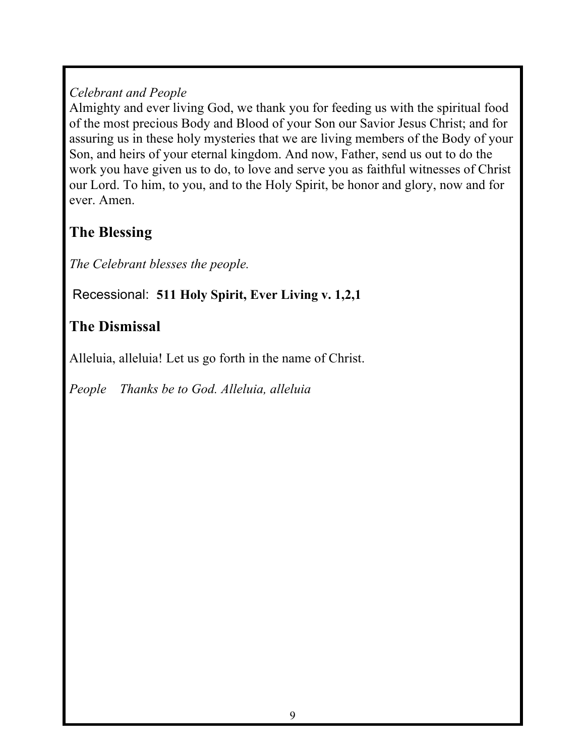# *Celebrant and People*

Almighty and ever living God, we thank you for feeding us with the spiritual food of the most precious Body and Blood of your Son our Savior Jesus Christ; and for assuring us in these holy mysteries that we are living members of the Body of your Son, and heirs of your eternal kingdom. And now, Father, send us out to do the work you have given us to do, to love and serve you as faithful witnesses of Christ our Lord. To him, to you, and to the Holy Spirit, be honor and glory, now and for ever. Amen.

# **The Blessing**

*The Celebrant blesses the people.*

Recessional: **511 Holy Spirit, Ever Living v. 1,2,1**

# **The Dismissal**

Alleluia, alleluia! Let us go forth in the name of Christ.

*People Thanks be to God. Alleluia, alleluia*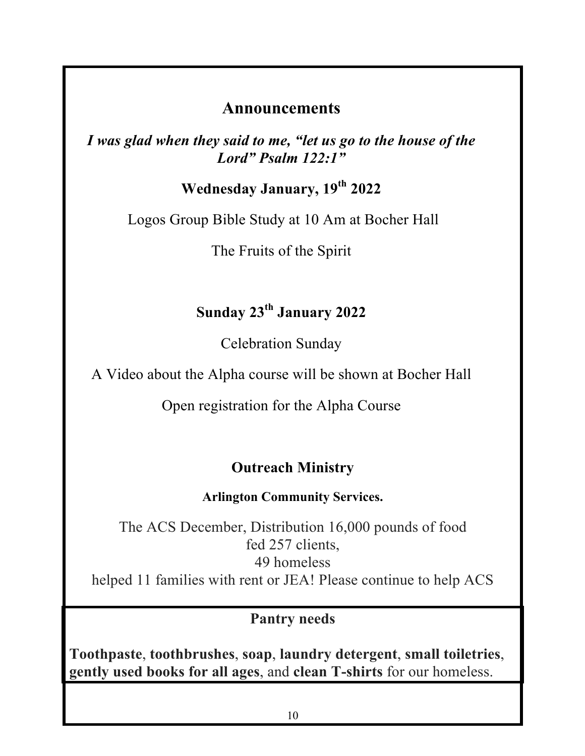### **Announcements**

*I was glad when they said to me, "let us go to the house of the Lord" Psalm 122:1"*

**Wednesday January, 19th 2022**

Logos Group Bible Study at 10 Am at Bocher Hall

The Fruits of the Spirit

# **Sunday 23th January 2022**

Celebration Sunday

A Video about the Alpha course will be shown at Bocher Hall

Open registration for the Alpha Course

# **Outreach Ministry**

**Arlington Community Services.**

The ACS December, Distribution 16,000 pounds of food fed 257 clients, 49 homeless helped 11 families with rent or JEA! Please continue to help ACS

# **Pantry needs**

**Toothpaste**, **toothbrushes**, **soap**, **laundry detergent**, **small toiletries**, **gently used books for all ages**, and **clean T-shirts** for our homeless.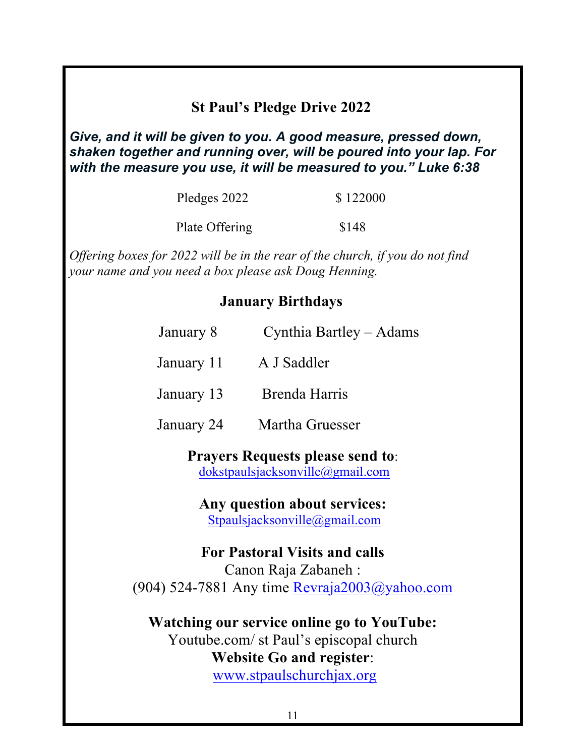### **St Paul's Pledge Drive 2022**

*Give, and it will be given to you. A good measure, pressed down, shaken together and running over, will be poured into your lap. For with the measure you use, it will be measured to you." Luke 6:38*

| Pledges 2022   | \$122000 |
|----------------|----------|
| Plate Offering | \$148    |

*Offering boxes for 2022 will be in the rear of the church, if you do not find your name and you need a box please ask Doug Henning.*

#### **January Birthdays**

| January 8                                                                                                                                    | Cynthia Bartley – Adams                                                                                       |  |
|----------------------------------------------------------------------------------------------------------------------------------------------|---------------------------------------------------------------------------------------------------------------|--|
| January 11                                                                                                                                   | A J Saddler                                                                                                   |  |
| January 13                                                                                                                                   | <b>Brenda Harris</b>                                                                                          |  |
| January 24                                                                                                                                   | Martha Gruesser                                                                                               |  |
| <b>Prayers Requests please send to:</b><br>dokstpaulsjacksonville@gmail.com<br>Any question about services:<br>Stpaulsjacksonville@gmail.com |                                                                                                               |  |
|                                                                                                                                              | <b>For Pastoral Visits and calls</b><br>Canon Raja Zabaneh :<br>(904) 524-7881 Any time Revraja2003@yahoo.com |  |
|                                                                                                                                              | <b>Watching our service online go to YouTube:</b><br>Youtube.com/ st Paul's episcopal church                  |  |

#### **Website Go and register**:

www.stpaulschurchjax.org